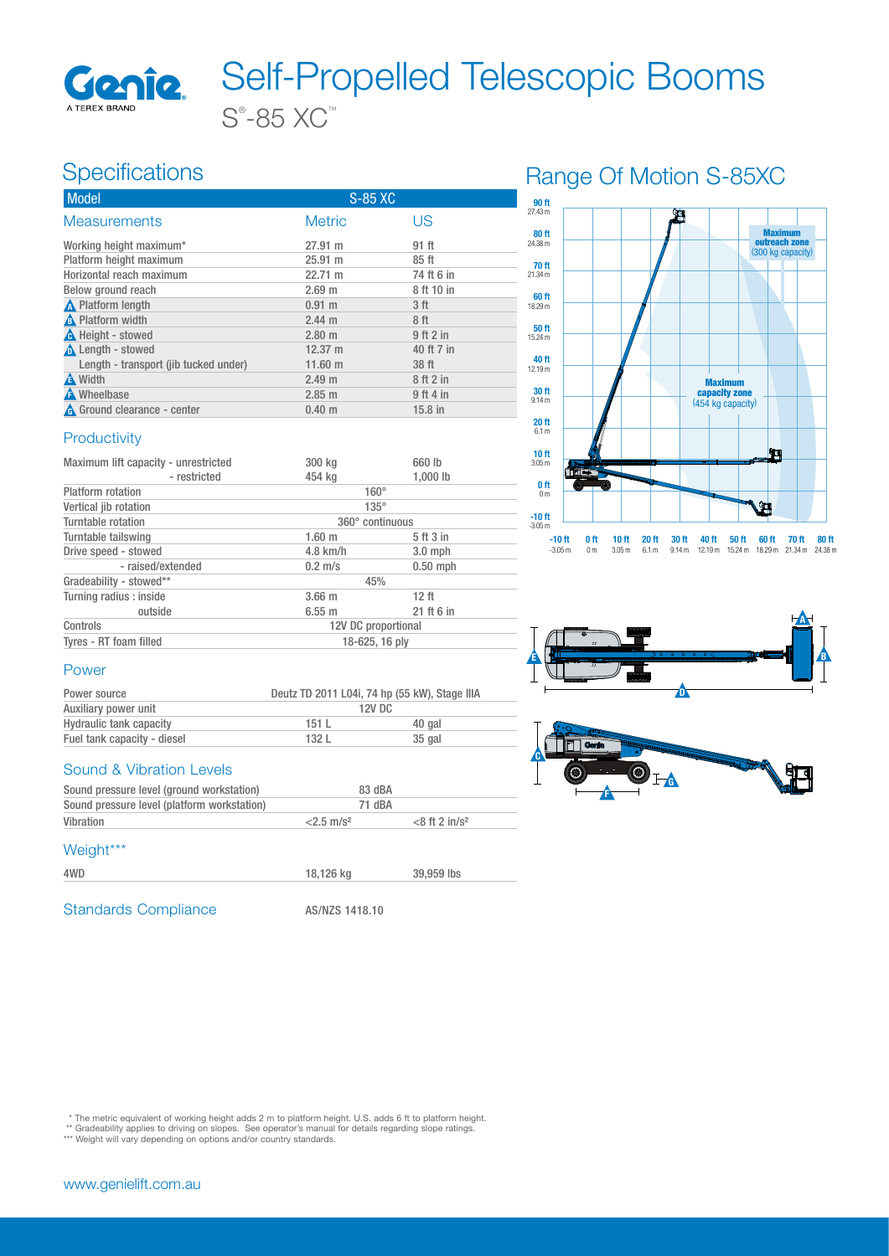

### **Specifications**

| Model                                 | S-85 XC           |            |
|---------------------------------------|-------------------|------------|
| <b>Measurements</b>                   | <b>Metric</b>     | US         |
| Working height maximum*               | 27.91 m           | 91 ft      |
| Platform height maximum               | 25.91 m           | 85 ft      |
| Horizontal reach maximum              | 22.71 m           | 74 ft 6 in |
| Below ground reach                    | 2.69 <sub>m</sub> | 8 ft 10 in |
| <b>A</b> Platform length              | $0.91 \;{\rm m}$  | 3 ft       |
| A Platform width                      | $2.44$ m          | 8 ft       |
| <b>A</b> Height - stowed              | 2.80 <sub>m</sub> | 9 ft 2 in  |
| <b>A</b> Length - stowed              | $12.37 \text{ m}$ | 40 ft 7 in |
| Length - transport (jib tucked under) | $11.60 \text{ m}$ | 38 ft      |
| A Width                               | 2.49 <sub>m</sub> | 8 ft 2 in  |
| <b>A</b> Wheelbase                    | 2.85 m            | 9 ft 4 in  |
| <b>A</b> Ground clearance - center    | 0.40 <sub>m</sub> | $15.8$ in  |

## Range Of Motion S-85XC



### **Productivity**

| Maximum lift capacity - unrestricted | 300 kg              | 660 lb           |  |
|--------------------------------------|---------------------|------------------|--|
| - restricted                         | 454 kg              | 1,000 lb         |  |
| <b>Platform</b> rotation             | $160^\circ$         |                  |  |
| Vertical jib rotation                | $135^\circ$         |                  |  |
| Turntable rotation                   | 360° continuous     |                  |  |
| Turntable tailswing                  | 1.60 <sub>m</sub>   | 5 ft 3 in        |  |
| Drive speed - stowed                 | $4.8$ km/h          | $3.0$ mph        |  |
| - raised/extended                    | $0.2$ m/s           | $0.50$ mph       |  |
| Gradeability - stowed**              | 45%                 |                  |  |
| Turning radius : inside              | 3.66 <sub>m</sub>   | 12 <sub>ft</sub> |  |
| outside                              | 6.55 m              | 21 ft 6 in       |  |
| Controls                             | 12V DC proportional |                  |  |
| Tyres - RT foam filled               | 18-625, 16 ply      |                  |  |





#### Power

| Power source                |       | Deutz TD 2011 L04i, 74 hp (55 kW), Stage IIIA |  |  |
|-----------------------------|-------|-----------------------------------------------|--|--|
| Auxiliary power unit        |       | 12V DC                                        |  |  |
| Hydraulic tank capacity     | 151L  | 40 gal                                        |  |  |
| Fuel tank capacity - diesel | 132 L | 35 gal                                        |  |  |
|                             |       |                                               |  |  |

#### Sound & Vibration Levels

| Sound pressure level (ground workstation)   | 83 dBA                   |                              |
|---------------------------------------------|--------------------------|------------------------------|
| Sound pressure level (platform workstation) | 71 dBA                   |                              |
| Vibration                                   | $<$ 2.5 m/s <sup>2</sup> | $<$ 8 ft 2 in/s <sup>2</sup> |

#### Weight\*\*\*

| 4WD | 18.126 kg | 39,959 lbs |
|-----|-----------|------------|

Standards Compliance AS/NZS 1418.10

\* The metric equivalent of working height adds 2 m to platform height. U.S. adds 6 ft to platform height.<br>\*\* Gradeability applies to driving on slopes. See operator's manual for details regarding slope ratings.<br>\*\*\* Weight